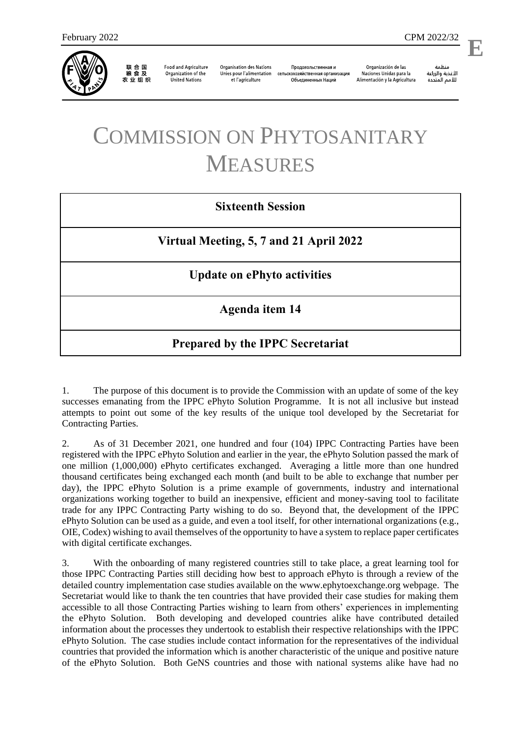

联合国<br>粮食及 农业组织

**Food and Agriculture** Organization of the **United Nations** 

**Organisation des Nations** Unies pour l'alimentation et l'agriculture

Продовольственная и сельскохозяйственная организация Объелиненных Наций

Organización de las Naciones Unidas para la Alimentación y la Agricultura

منظمة الأغذية والزراعة للأمم المتحدة

l,

## COMMISSION ON PHYTOSANITARY MEASURES

## **Sixteenth Session**

**Virtual Meeting, 5, 7 and 21 April 2022**

**Update on ePhyto activities** 

**Agenda item 14**

## **Prepared by the IPPC Secretariat**

1. The purpose of this document is to provide the Commission with an update of some of the key successes emanating from the IPPC ePhyto Solution Programme. It is not all inclusive but instead attempts to point out some of the key results of the unique tool developed by the Secretariat for Contracting Parties.

2. As of 31 December 2021, one hundred and four (104) IPPC Contracting Parties have been registered with the IPPC ePhyto Solution and earlier in the year, the ePhyto Solution passed the mark of one million (1,000,000) ePhyto certificates exchanged. Averaging a little more than one hundred thousand certificates being exchanged each month (and built to be able to exchange that number per day), the IPPC ePhyto Solution is a prime example of governments, industry and international organizations working together to build an inexpensive, efficient and money-saving tool to facilitate trade for any IPPC Contracting Party wishing to do so. Beyond that, the development of the IPPC ePhyto Solution can be used as a guide, and even a tool itself, for other international organizations (e.g., OIE, Codex) wishing to avail themselves of the opportunity to have a system to replace paper certificates with digital certificate exchanges.

3. With the onboarding of many registered countries still to take place, a great learning tool for those IPPC Contracting Parties still deciding how best to approach ePhyto is through a review of the detailed country implementation case studies available on the [www.ephytoexchange.org](http://www.ephytoexchange.org/) webpage. The Secretariat would like to thank the ten countries that have provided their case studies for making them accessible to all those Contracting Parties wishing to learn from others' experiences in implementing the ePhyto Solution. Both developing and developed countries alike have contributed detailed information about the processes they undertook to establish their respective relationships with the IPPC ePhyto Solution. The case studies include contact information for the representatives of the individual countries that provided the information which is another characteristic of the unique and positive nature of the ePhyto Solution. Both GeNS countries and those with national systems alike have had no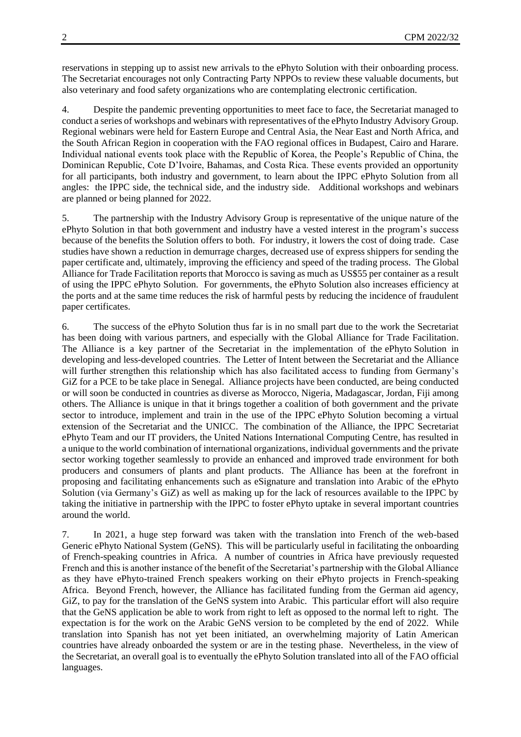reservations in stepping up to assist new arrivals to the ePhyto Solution with their onboarding process. The Secretariat encourages not only Contracting Party NPPOs to review these valuable documents, but also veterinary and food safety organizations who are contemplating electronic certification.

4. Despite the pandemic preventing opportunities to meet face to face, the Secretariat managed to conduct a series of workshops and webinars with representatives of the ePhyto Industry Advisory Group. Regional webinars were held for Eastern Europe and Central Asia, the Near East and North Africa, and the South African Region in cooperation with the FAO regional offices in Budapest, Cairo and Harare. Individual national events took place with the Republic of Korea, the People's Republic of China, the Dominican Republic, Cote D'Ivoire, Bahamas, and Costa Rica. These events provided an opportunity for all participants, both industry and government, to learn about the IPPC ePhyto Solution from all angles: the IPPC side, the technical side, and the industry side. Additional workshops and webinars are planned or being planned for 2022.

5. The partnership with the Industry Advisory Group is representative of the unique nature of the ePhyto Solution in that both government and industry have a vested interest in the program's success because of the benefits the Solution offers to both. For industry, it lowers the cost of doing trade. Case studies have shown a reduction in demurrage charges, decreased use of express shippers for sending the paper certificate and, ultimately, improving the efficiency and speed of the trading process. The Global Alliance for Trade Facilitation reports that Morocco is saving as much as US\$55 per container as a result of using the IPPC ePhyto Solution. For governments, the ePhyto Solution also increases efficiency at the ports and at the same time reduces the risk of harmful pests by reducing the incidence of fraudulent paper certificates.

6. The success of the ePhyto Solution thus far is in no small part due to the work the Secretariat has been doing with various partners, and especially with the Global Alliance for Trade Facilitation. The Alliance is a key partner of the Secretariat in the implementation of the ePhyto Solution in developing and less-developed countries. The Letter of Intent between the Secretariat and the Alliance will further strengthen this relationship which has also facilitated access to funding from Germany's GiZ for a PCE to be take place in Senegal. Alliance projects have been conducted, are being conducted or will soon be conducted in countries as diverse as Morocco, Nigeria, Madagascar, Jordan, Fiji among others. The Alliance is unique in that it brings together a coalition of both government and the private sector to introduce, implement and train in the use of the IPPC ePhyto Solution becoming a virtual extension of the Secretariat and the UNICC. The combination of the Alliance, the IPPC Secretariat ePhyto Team and our IT providers, the United Nations International Computing Centre, has resulted in a unique to the world combination of international organizations, individual governments and the private sector working together seamlessly to provide an enhanced and improved trade environment for both producers and consumers of plants and plant products. The Alliance has been at the forefront in proposing and facilitating enhancements such as eSignature and translation into Arabic of the ePhyto Solution (via Germany's GiZ) as well as making up for the lack of resources available to the IPPC by taking the initiative in partnership with the IPPC to foster ePhyto uptake in several important countries around the world.

7. In 2021, a huge step forward was taken with the translation into French of the web-based Generic ePhyto National System (GeNS). This will be particularly useful in facilitating the onboarding of French-speaking countries in Africa. A number of countries in Africa have previously requested French and this is another instance of the benefit of the Secretariat's partnership with the Global Alliance as they have ePhyto-trained French speakers working on their ePhyto projects in French-speaking Africa. Beyond French, however, the Alliance has facilitated funding from the German aid agency, GiZ, to pay for the translation of the GeNS system into Arabic. This particular effort will also require that the GeNS application be able to work from right to left as opposed to the normal left to right. The expectation is for the work on the Arabic GeNS version to be completed by the end of 2022. While translation into Spanish has not yet been initiated, an overwhelming majority of Latin American countries have already onboarded the system or are in the testing phase. Nevertheless, in the view of the Secretariat, an overall goal is to eventually the ePhyto Solution translated into all of the FAO official languages.